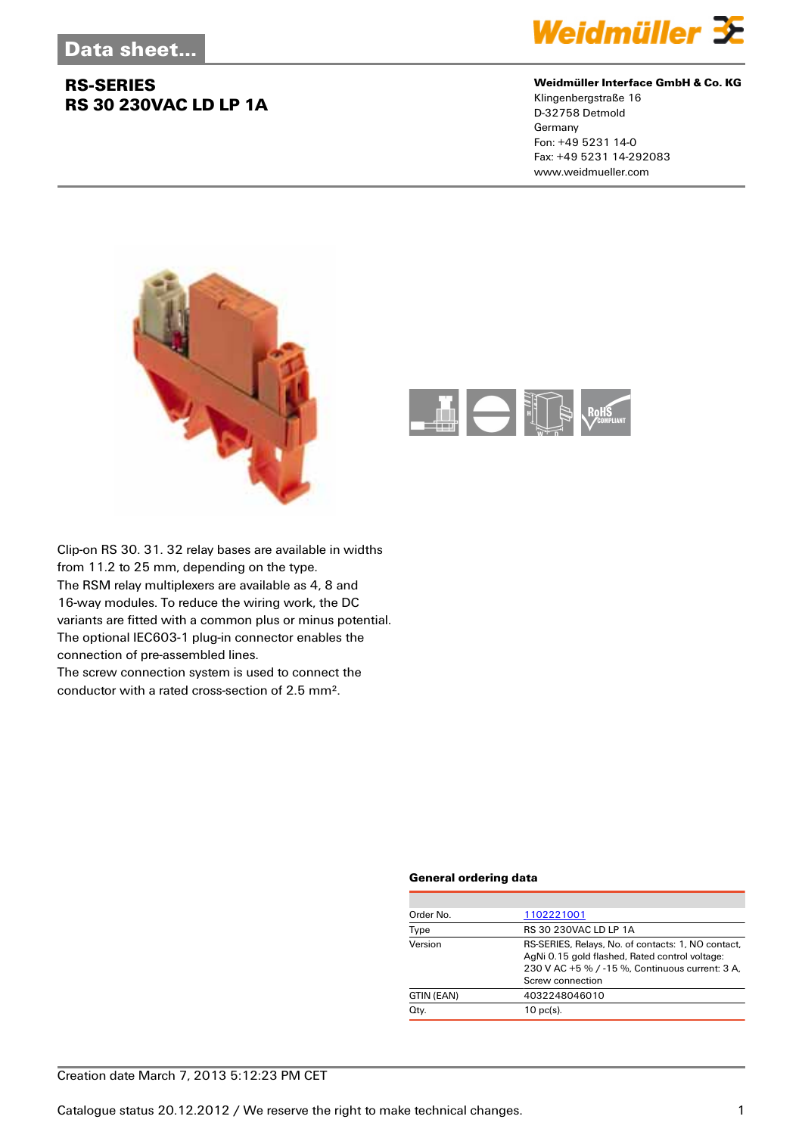### **RS-SERIES RS 30 230VAC LD LP 1A**



### **Weidmüller Interface GmbH & Co. KG**

Klingenbergstraße 16 D-32758 Detmold Germany Fon: +49 5231 14-0 Fax: +49 5231 14-292083 www.weidmueller.com





Clip-on RS 30. 31. 32 relay bases are available in widths from 11.2 to 25 mm, depending on the type. The RSM relay multiplexers are available as 4, 8 and 16-way modules. To reduce the wiring work, the DC variants are fitted with a common plus or minus potential. The optional IEC603-1 plug-in connector enables the connection of pre-assembled lines.

The screw connection system is used to connect the conductor with a rated cross-section of 2.5 mm².

### **General ordering data**

| Order No.  | 1102221001                                                                                                                                                                  |
|------------|-----------------------------------------------------------------------------------------------------------------------------------------------------------------------------|
| Type       | RS 30 230VAC LD LP 1A                                                                                                                                                       |
| Version    | RS-SERIES, Relays, No. of contacts: 1, NO contact,<br>AgNi 0.15 gold flashed, Rated control voltage:<br>230 V AC +5 % / -15 %, Continuous current: 3 A,<br>Screw connection |
| GTIN (EAN) | 4032248046010                                                                                                                                                               |
| Qty.       | $10$ pc(s).                                                                                                                                                                 |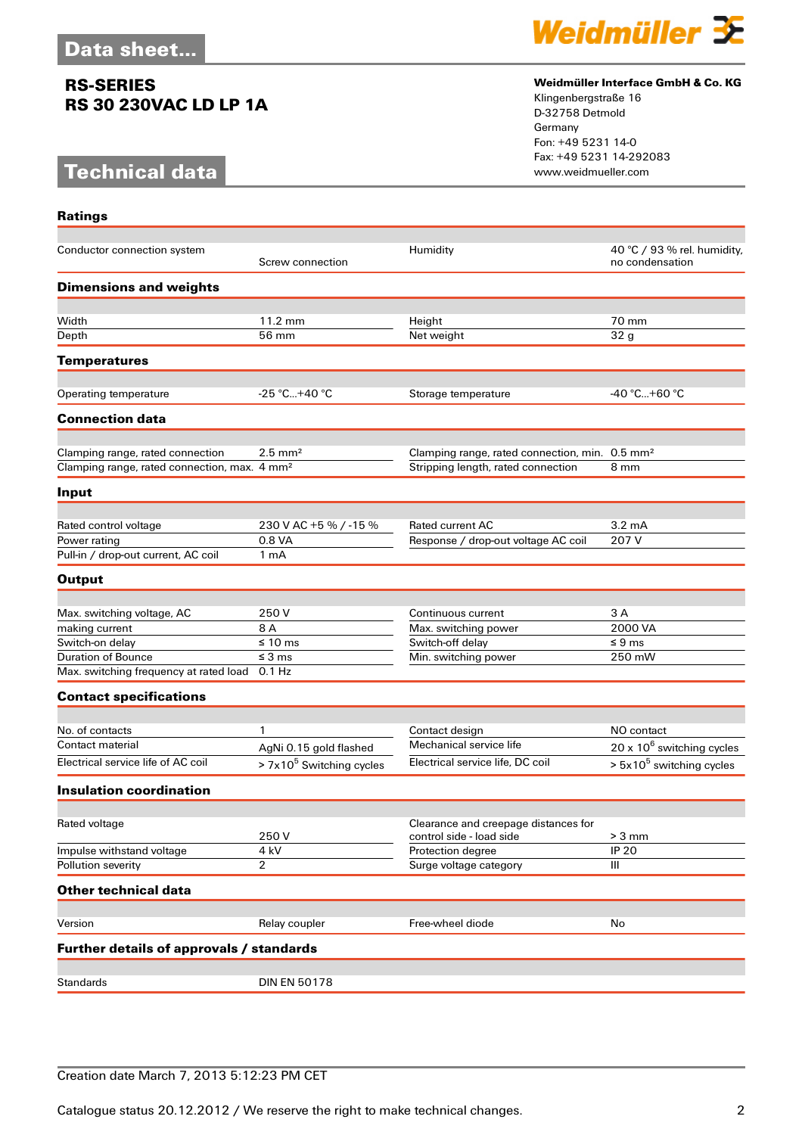### **RS-SERIES RS 30 230VAC LD LP 1A**

# **Technical data**



### **Weidmüller Interface GmbH & Co. KG**

Klingenbergstraße 16 D-32758 Detmold Germany Fon: +49 5231 14-0 Fax: +49 5231 14-292083

| <b>Ratings</b>                                           |                                 |                                                            |                                                |
|----------------------------------------------------------|---------------------------------|------------------------------------------------------------|------------------------------------------------|
| Conductor connection system                              | Screw connection                | Humidity                                                   | 40 °C / 93 % rel. humidity,<br>no condensation |
| <b>Dimensions and weights</b>                            |                                 |                                                            |                                                |
| Width                                                    | 11.2 mm                         | Height                                                     | 70 mm                                          |
| Depth                                                    | 56 mm                           | Net weight                                                 | 32 <sub>g</sub>                                |
| <b>Temperatures</b>                                      |                                 |                                                            |                                                |
| Operating temperature                                    | $-25 °C+40 °C$                  | Storage temperature                                        | -40 °C…+60 °C                                  |
| <b>Connection data</b>                                   |                                 |                                                            |                                                |
| Clamping range, rated connection                         | $2.5 \text{ mm}^2$              | Clamping range, rated connection, min. 0.5 mm <sup>2</sup> |                                                |
| Clamping range, rated connection, max. 4 mm <sup>2</sup> |                                 | Stripping length, rated connection                         | 8 mm                                           |
| Input                                                    |                                 |                                                            |                                                |
| Rated control voltage                                    |                                 | Rated current AC                                           | $3.2 \text{ mA}$                               |
| Power rating                                             | 230 V AC +5 % / -15 %<br>0.8 VA | Response / drop-out voltage AC coil                        | 207 V                                          |
| Pull-in / drop-out current, AC coil                      | 1 <sub>m</sub> A                |                                                            |                                                |
| <b>Output</b>                                            |                                 |                                                            |                                                |
|                                                          |                                 |                                                            |                                                |
| Max. switching voltage, AC                               | 250 V                           | Continuous current                                         | 3 A                                            |
| making current                                           | 8 A                             | Max. switching power                                       | 2000 VA                                        |
| Switch-on delay                                          | $\leq 10 \text{ ms}$            | Switch-off delay                                           | $\leq 9$ ms                                    |
| <b>Duration of Bounce</b>                                | $\leq$ 3 ms                     | Min. switching power                                       | 250 mW                                         |
| Max. switching frequency at rated load                   | $0.1$ Hz                        |                                                            |                                                |
| <b>Contact specifications</b>                            |                                 |                                                            |                                                |
| No. of contacts                                          | 1                               |                                                            | NO contact                                     |
| Contact material                                         |                                 | Contact design<br>Mechanical service life                  |                                                |
| Electrical service life of AC coil                       | AgNi 0.15 gold flashed          | Electrical service life, DC coil                           | $20 \times 10^6$ switching cycles              |
|                                                          | $> 7x105$ Switching cycles      |                                                            | $> 5x105$ switching cycles                     |
| <b>Insulation coordination</b>                           |                                 |                                                            |                                                |
| Rated voltage                                            |                                 | Clearance and creepage distances for                       |                                                |
|                                                          | 250V                            | control side - load side                                   | $> 3$ mm                                       |
| Impulse withstand voltage                                | 4 kV                            | Protection degree                                          | <b>IP 20</b>                                   |
| Pollution severity                                       | 2                               | Surge voltage category                                     | Ш                                              |
| <b>Other technical data</b>                              |                                 |                                                            |                                                |
| Version                                                  | Relay coupler                   | Free-wheel diode                                           | No                                             |
| Further details of approvals / standards                 |                                 |                                                            |                                                |
|                                                          |                                 |                                                            |                                                |
| <b>Standards</b>                                         | <b>DIN EN 50178</b>             |                                                            |                                                |